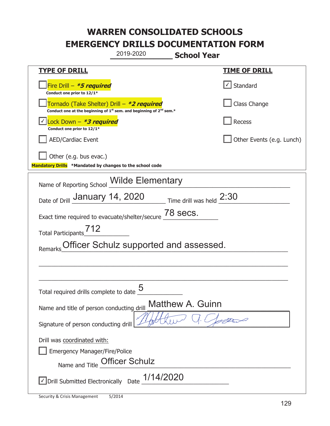|                                                                                    | 2019-2020<br><b>School Year</b>                                                             |                          |                           |
|------------------------------------------------------------------------------------|---------------------------------------------------------------------------------------------|--------------------------|---------------------------|
| <u>TYPE OF DRILL</u>                                                               |                                                                                             |                          | <u>TIME OF DRILL</u>      |
| Fire Drill - *5 required<br>Conduct one prior to 12/1*                             |                                                                                             | √ Standard               |                           |
| Tornado (Take Shelter) Drill – *2 required                                         | Conduct one at the beginning of 1 <sup>st</sup> sem. and beginning of 2 <sup>nd</sup> sem.* |                          | Class Change              |
| Lock Down - <b>*3 required</b><br>Conduct one prior to 12/1*                       |                                                                                             | Recess                   |                           |
| <b>AED/Cardiac Event</b>                                                           |                                                                                             |                          | Other Events (e.g. Lunch) |
| Other (e.g. bus evac.)<br>Mandatory Drills *Mandated by changes to the school code |                                                                                             |                          |                           |
| Name of Reporting School                                                           | <b>Wilde Elementary</b>                                                                     |                          |                           |
| Date of Drill January 14, 2020                                                     |                                                                                             | Time drill was held 2:30 |                           |
| Exact time required to evacuate/shelter/secure                                     |                                                                                             | 78 secs.                 |                           |
| 712<br><b>Total Participants</b>                                                   |                                                                                             |                          |                           |
| Remarks                                                                            | Officer Schulz supported and assessed.                                                      |                          |                           |
|                                                                                    |                                                                                             |                          |                           |
|                                                                                    |                                                                                             |                          |                           |
| Total required drills complete to date $\frac{5}{4}$                               |                                                                                             |                          |                           |
| Name and title of person conducting drill                                          |                                                                                             | <b>Matthew A. Guinn</b>  |                           |
| Signature of person conducting drill                                               |                                                                                             |                          |                           |
| Drill was coordinated with:                                                        |                                                                                             |                          |                           |
| <b>Emergency Manager/Fire/Police</b>                                               |                                                                                             |                          |                           |
| Name and Title                                                                     | <b>Officer Schulz</b>                                                                       |                          |                           |
| √ Drill Submitted Electronically Date                                              | 1/14/2020                                                                                   |                          |                           |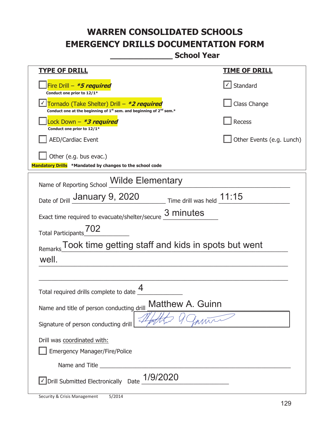**\_\_\_\_\_\_\_\_\_\_\_\_\_ School Year** 

| <u>TYPE OF DRILL</u>                                                                                                                      | <u>TIME OF DRILL</u>      |  |  |
|-------------------------------------------------------------------------------------------------------------------------------------------|---------------------------|--|--|
| Fire Drill - *5 required<br>Conduct one prior to 12/1*                                                                                    | $\angle$ Standard         |  |  |
| Tornado (Take Shelter) Drill – *2 required<br>Conduct one at the beginning of 1 <sup>st</sup> sem. and beginning of 2 <sup>nd</sup> sem.* | Class Change              |  |  |
| ock Down - <b>*3 required</b><br>Conduct one prior to 12/1*                                                                               | Recess                    |  |  |
| <b>AED/Cardiac Event</b>                                                                                                                  | Other Events (e.g. Lunch) |  |  |
| Other (e.g. bus evac.)                                                                                                                    |                           |  |  |
| Mandatory Drills *Mandated by changes to the school code                                                                                  |                           |  |  |
| <b>Wilde Elementary</b><br>Name of Reporting School                                                                                       |                           |  |  |
| Time drill was held $11:15$<br>Date of Drill January 9, 2020                                                                              |                           |  |  |
| 3 minutes<br>Exact time required to evacuate/shelter/secure                                                                               |                           |  |  |
| 702<br><b>Total Participants</b>                                                                                                          |                           |  |  |
| Took time getting staff and kids in spots but went<br>Remarks                                                                             |                           |  |  |
| well.                                                                                                                                     |                           |  |  |
|                                                                                                                                           |                           |  |  |
| Total required drills complete to date                                                                                                    |                           |  |  |
| <b>Matthew A. Guinn</b><br>Name and title of person conducting drill                                                                      |                           |  |  |
| Signature of person conducting drill                                                                                                      |                           |  |  |
| Drill was coordinated with:                                                                                                               |                           |  |  |
| <b>Emergency Manager/Fire/Police</b>                                                                                                      |                           |  |  |
| Name and Title                                                                                                                            |                           |  |  |
| 1/9/2020<br>Drill Submitted Electronically Date                                                                                           |                           |  |  |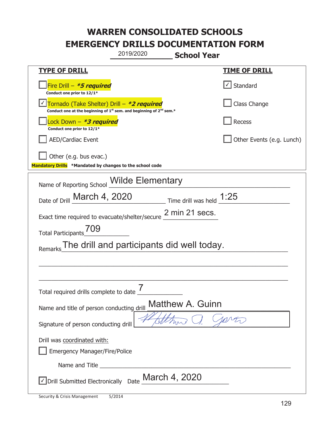| 2019/2020<br><b>School Year</b>                                                                                             |                            |  |  |
|-----------------------------------------------------------------------------------------------------------------------------|----------------------------|--|--|
| <b>TYPE OF DRILL</b>                                                                                                        | <b>TIME OF DRILL</b>       |  |  |
| Fire Drill $-$ *5 required<br>Conduct one prior to 12/1*                                                                    | √ Standard                 |  |  |
| Tornado (Take Shelter) Drill – *2 required<br>Conduct one at the beginning of $1^{st}$ sem. and beginning of $2^{nd}$ sem.* | Class Change               |  |  |
| Lock Down – <b>*3 required</b><br>Conduct one prior to 12/1*                                                                | <b>Recess</b>              |  |  |
| <b>AED/Cardiac Event</b>                                                                                                    | Other Events (e.g. Lunch)  |  |  |
| Other (e.g. bus evac.)<br>Mandatory Drills *Mandated by changes to the school code                                          |                            |  |  |
| Wilde Elementary<br>Name of Reporting School                                                                                |                            |  |  |
| Date of Drill March 4, 2020                                                                                                 | Time drill was held $1:25$ |  |  |
| 2 min 21 secs.<br>Exact time required to evacuate/shelter/secure                                                            |                            |  |  |
| 709<br><b>Total Participants</b>                                                                                            |                            |  |  |
| The drill and participants did well today.<br>Remarks                                                                       |                            |  |  |
|                                                                                                                             |                            |  |  |
|                                                                                                                             |                            |  |  |
| 7<br>Total required drills complete to date                                                                                 |                            |  |  |
| Matthew A. Guinn<br>Name and title of person conducting drill                                                               |                            |  |  |
| Signature of person conducting drill                                                                                        |                            |  |  |
| Drill was coordinated with:<br><b>Emergency Manager/Fire/Police</b>                                                         |                            |  |  |
|                                                                                                                             |                            |  |  |
| Drill Submitted Electronically Date March 4, 2020                                                                           |                            |  |  |

T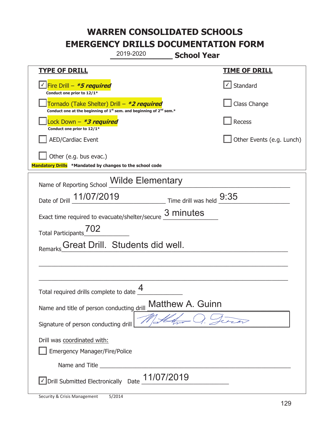|                                                                                                                                           | 2019-2020<br><b>School Year</b> |                  |                           |
|-------------------------------------------------------------------------------------------------------------------------------------------|---------------------------------|------------------|---------------------------|
| <b>TYPE OF DRILL</b>                                                                                                                      |                                 |                  | <b>TIME OF DRILL</b>      |
| <u>√ Fire Drill – <i>*5 required</i></u><br>Conduct one prior to 12/1*                                                                    |                                 |                  | √ Standard                |
| Tornado (Take Shelter) Drill – *2 required<br>Conduct one at the beginning of 1 <sup>st</sup> sem. and beginning of 2 <sup>nd</sup> sem.* |                                 |                  | Class Change              |
| Lock Down - *3 required<br>Conduct one prior to 12/1*                                                                                     |                                 |                  | Recess                    |
| <b>AED/Cardiac Event</b>                                                                                                                  |                                 |                  | Other Events (e.g. Lunch) |
| Other (e.g. bus evac.)<br>Mandatory Drills *Mandated by changes to the school code                                                        |                                 |                  |                           |
| Name of Reporting School Milde Elementary                                                                                                 |                                 |                  |                           |
| Date of Drill 11/07/2019 Time drill was held 9:35                                                                                         |                                 |                  |                           |
| Exact time required to evacuate/shelter/secure $\frac{3 \text{ minutes}}{4}$                                                              |                                 |                  |                           |
| Total Participants <sup>702</sup>                                                                                                         |                                 |                  |                           |
| Remarks                                                                                                                                   | Great Drill. Students did well. |                  |                           |
|                                                                                                                                           |                                 |                  |                           |
|                                                                                                                                           |                                 |                  |                           |
| Total required drills complete to date $\frac{4}{1}$                                                                                      |                                 |                  |                           |
| Name and title of person conducting drill                                                                                                 |                                 | Matthew A. Guinn |                           |
| Signature of person conducting drill                                                                                                      |                                 |                  |                           |
| Drill was coordinated with:                                                                                                               |                                 |                  |                           |
| <b>Emergency Manager/Fire/Police</b>                                                                                                      |                                 |                  |                           |
|                                                                                                                                           |                                 |                  |                           |
| √ Drill Submitted Electronically Date                                                                                                     | 11/07/2019                      |                  |                           |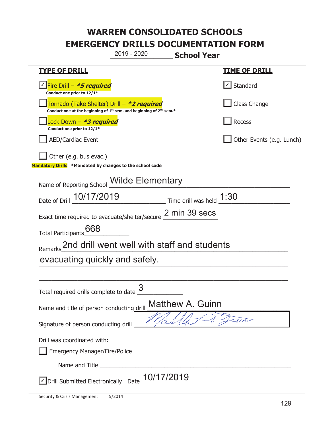|                                                                                                                                           | 2019 - 2020 | <b>School Year</b>                           |                           |
|-------------------------------------------------------------------------------------------------------------------------------------------|-------------|----------------------------------------------|---------------------------|
| <b>TYPE OF DRILL</b>                                                                                                                      |             |                                              | <b>TIME OF DRILL</b>      |
| √ Fire Drill – <i>*5 required</i><br>Conduct one prior to 12/1*                                                                           |             |                                              | Standard                  |
| Tornado (Take Shelter) Drill – *2 required<br>Conduct one at the beginning of 1 <sup>st</sup> sem. and beginning of 2 <sup>nd</sup> sem.* |             |                                              | Class Change              |
| Lock Down - *3 required<br>Conduct one prior to 12/1*                                                                                     |             |                                              | <b>Recess</b>             |
| <b>AED/Cardiac Event</b>                                                                                                                  |             |                                              | Other Events (e.g. Lunch) |
| Other (e.g. bus evac.)<br>Mandatory Drills *Mandated by changes to the school code                                                        |             |                                              |                           |
| Name of Reporting School <i>Wilde</i> Elementary                                                                                          |             |                                              |                           |
| Date of Drill 10/17/2019                                                                                                                  |             | ___________________ Time drill was held 1:30 |                           |
| Exact time required to evacuate/shelter/secure 2 min 39 secs                                                                              |             |                                              |                           |
| 668<br><b>Total Participants</b>                                                                                                          |             |                                              |                           |
| Remarks 2nd drill went well with staff and students                                                                                       |             |                                              |                           |
| evacuating quickly and safely.                                                                                                            |             |                                              |                           |
|                                                                                                                                           |             |                                              |                           |
| Total required drills complete to date $\frac{3}{4}$                                                                                      |             |                                              |                           |
| Name and title of person conducting drill                                                                                                 |             | <b>Matthew A. Guinn</b>                      |                           |
| Signature of person conducting drill                                                                                                      |             |                                              |                           |
| Drill was coordinated with:                                                                                                               |             |                                              |                           |
| <b>Emergency Manager/Fire/Police</b>                                                                                                      |             |                                              |                           |
|                                                                                                                                           |             |                                              |                           |
| √Drill Submitted Electronically Date 10/17/2019                                                                                           |             |                                              |                           |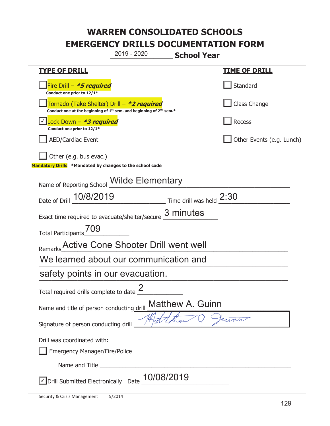|                                                                                                                                           | 2019 - 2020                                                 | <b>School Year</b> |                           |
|-------------------------------------------------------------------------------------------------------------------------------------------|-------------------------------------------------------------|--------------------|---------------------------|
| <u>TYPE OF DRILL</u>                                                                                                                      |                                                             |                    | <u>TIME OF DRILL</u>      |
| Fire Drill - *5 required<br>Conduct one prior to 12/1*                                                                                    |                                                             |                    | Standard                  |
| Tornado (Take Shelter) Drill – *2 required<br>Conduct one at the beginning of 1 <sup>st</sup> sem. and beginning of 2 <sup>nd</sup> sem.* |                                                             |                    | Class Change              |
| √ <mark>Lock Down – <i>*<b>3 required</b></i></mark><br>Conduct one prior to 12/1*                                                        |                                                             |                    | <b>Recess</b>             |
| <b>AED/Cardiac Event</b>                                                                                                                  |                                                             |                    | Other Events (e.g. Lunch) |
| Other (e.g. bus evac.)<br>Mandatory Drills *Mandated by changes to the school code                                                        |                                                             |                    |                           |
| Name of Reporting School <b>Wilde Elementary</b>                                                                                          |                                                             |                    |                           |
| Date of Drill 10/8/2019                                                                                                                   | $\frac{2:30}{2:30}$ Time drill was held $\frac{2:30}{2:30}$ |                    |                           |
| Exact time required to evacuate/shelter/secure 3 minutes                                                                                  |                                                             |                    |                           |
| Total Participants <sup>709</sup>                                                                                                         |                                                             |                    |                           |
| Remarks Active Cone Shooter Drill went well                                                                                               |                                                             |                    |                           |
| We learned about our communication and                                                                                                    |                                                             |                    |                           |
| safety points in our evacuation.                                                                                                          |                                                             |                    |                           |
| Total required drills complete to date $\frac{2}{3}$                                                                                      |                                                             |                    |                           |
| Name and title of person conducting drill                                                                                                 |                                                             | Matthew A. Guinn   |                           |
| Signature of person conducting drill                                                                                                      |                                                             |                    |                           |
| Drill was coordinated with:                                                                                                               |                                                             |                    |                           |
| <b>Emergency Manager/Fire/Police</b>                                                                                                      |                                                             |                    |                           |
|                                                                                                                                           |                                                             |                    |                           |
| $\Box$ Drill Submitted Electronically Date $\_10/08/2019$                                                                                 |                                                             |                    |                           |